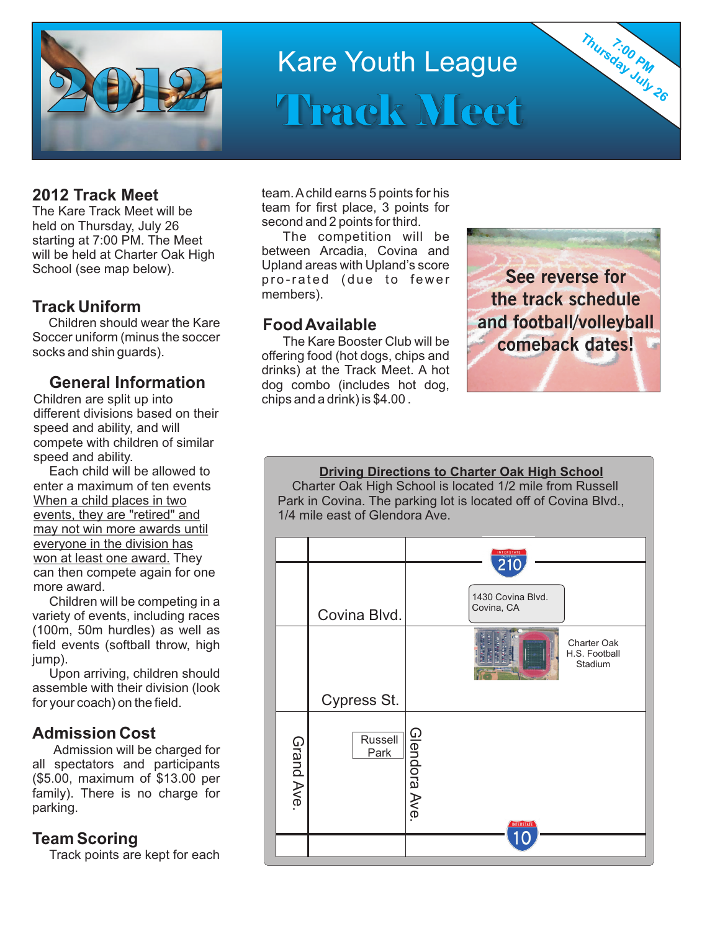

# Kare Youth League Track Meet

held on Thursday, July 26 **Example 3 Second and 2 points for third.**<br>starting at 7:00 PM. The Meet **The Competition** will be will be held at Charter Oak High School (see map below).

## **Track Uniform**

Children should wear the Kare **Food Available**<br>Soccer uniform (minus the soccer<br>The Kare Booste

Children are split up into chips and a drink) is \$4.00. different divisions based on their speed and ability, and will compete with children of similar speed and ability.

Each child will be allowed to enter a maximum of ten events When a child places in two events, they are "retired" and may not win more awards until everyone in the division has won at least one award. They can then compete again for one more award.

Children will be competing in a variety of events, including races (100m, 50m hurdles) as well as field events (softball throw, high iump).

Upon arriving, children should assemble with their division (look for your coach) on the field.

## **Admission Cost**

Admission will be charged for all spectators and participants (\$5.00, maximum of \$13.00 per family). There is no charge for parking.

## **Team Scoring**

Track points are kept for each

**2012 Track Meet** team. Achild earns 5 points for his The Kare Track Meet will be<br>
held on Thursday, July 26 second and 2 points for third.

starting at 7:00 PM. The Meet **The Competition will be starting at 7:00 PM.** The Meet **Starting and** Starting and Upland areas with Upland's score pro-rated (due to fewer members).

Soccer uniform (minus the soccer The Kare Booster Club will be<br>socks and shin guards). offering food (hot dogs, chips and drinks) at the Track Meet. A hot **General Information** dog combo (includes hot dog,



**7:00 PM Thursday July 26**

**Driving Directions to Charter Oak High School** Charter Oak High School is located 1/2 mile from Russell Park in Covina. The parking lot is located off of Covina Blvd., 1/4 mile east of Glendora Ave.